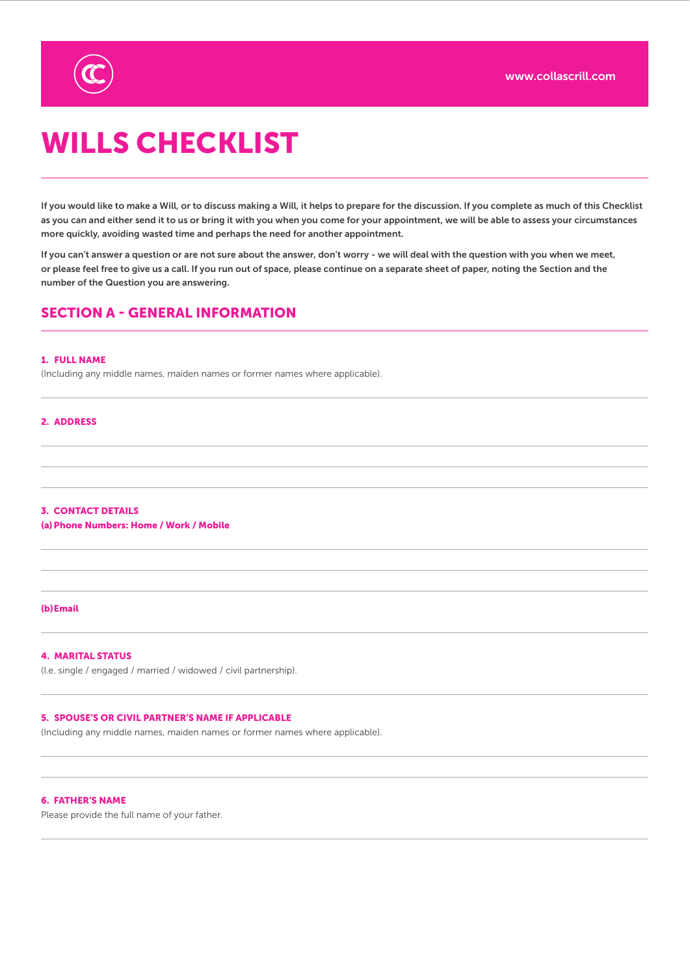

# WILLS CHECKLIST

If you would like to make a Will, or to discuss making a Will, it helps to prepare for the discussion. If you complete as much of this Checklist as you can and either send it to us or bring it with you when you come for your appointment, we will be able to assess your circumstances more quickly, avoiding wasted time and perhaps the need for another appointment.

If you can't answer a question or are not sure about the answer, don't worry - we will deal with the question with you when we meet, or please feel free to give us a call. If you run out of space, please continue on a separate sheet of paper, noting the Section and the number of the Question you are answering.

# SECTION A - GENERAL INFORMATION

## 1. FULL NAME

(Including any middle names, maiden names or former names where applicable).

### 2. ADDRESS

# 3. CONTACT DETAILS (a)Phone Numbers: Home / Work / Mobile

## (b)Email

# 4. MARITAL STATUS

(I.e. single / engaged / married / widowed / civil partnership).

# 5. SPOUSE'S OR CIVIL PARTNER'S NAME IF APPLICABLE

(Including any middle names, maiden names or former names where applicable).

#### 6. FATHER'S NAME

Please provide the full name of your father.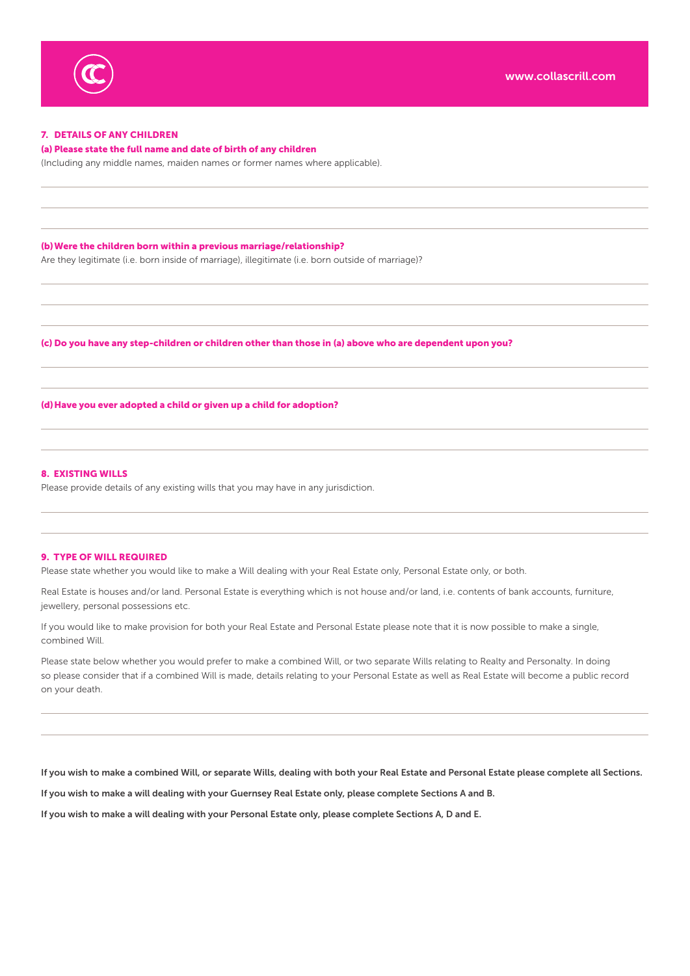

# 7. DETAILS OF ANY CHILDREN

#### (a) Please state the full name and date of birth of any children

(Including any middle names, maiden names or former names where applicable).

(b)Were the children born within a previous marriage/relationship?

Are they legitimate (i.e. born inside of marriage), illegitimate (i.e. born outside of marriage)?

(c) Do you have any step-children or children other than those in (a) above who are dependent upon you?

(d)Have you ever adopted a child or given up a child for adoption?

#### 8. EXISTING WILLS

Please provide details of any existing wills that you may have in any jurisdiction.

#### 9. TYPE OF WILL REQUIRED

Please state whether you would like to make a Will dealing with your Real Estate only, Personal Estate only, or both.

Real Estate is houses and/or land. Personal Estate is everything which is not house and/or land, i.e. contents of bank accounts, furniture, jewellery, personal possessions etc.

If you would like to make provision for both your Real Estate and Personal Estate please note that it is now possible to make a single, combined Will.

Please state below whether you would prefer to make a combined Will, or two separate Wills relating to Realty and Personalty. In doing so please consider that if a combined Will is made, details relating to your Personal Estate as well as Real Estate will become a public record on your death.

If you wish to make a combined Will, or separate Wills, dealing with both your Real Estate and Personal Estate please complete all Sections.

If you wish to make a will dealing with your Guernsey Real Estate only, please complete Sections A and B.

If you wish to make a will dealing with your Personal Estate only, please complete Sections A, D and E.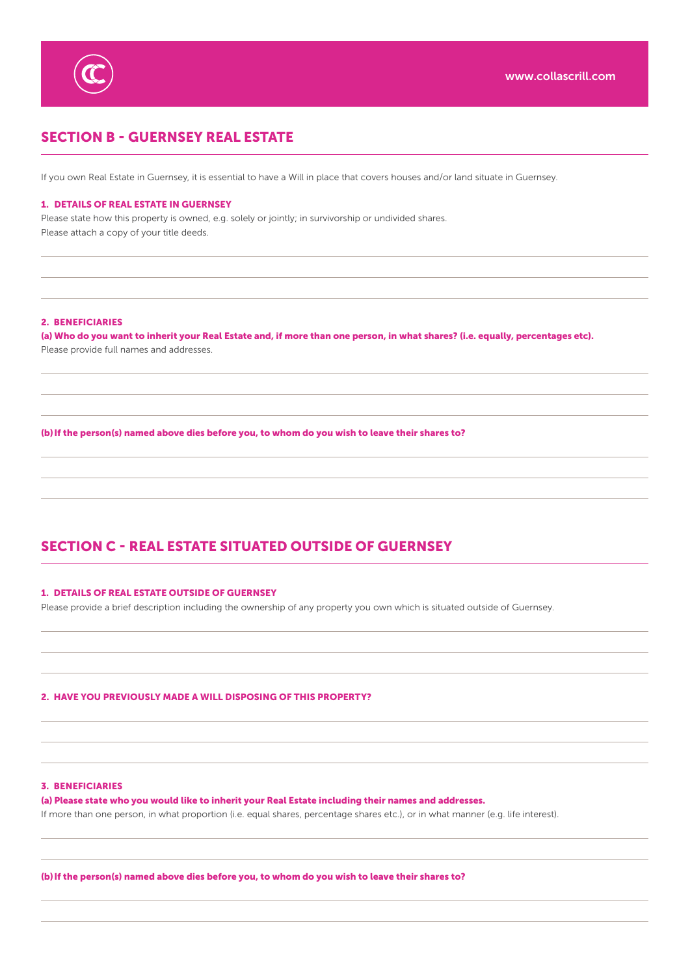

# SECTION B - GUERNSEY REAL ESTATE

If you own Real Estate in Guernsey, it is essential to have a Will in place that covers houses and/or land situate in Guernsey.

#### 1. DETAILS OF REAL ESTATE IN GUERNSEY

Please state how this property is owned, e.g. solely or jointly; in survivorship or undivided shares. Please attach a copy of your title deeds.

#### 2. BENEFICIARIES

(a) Who do you want to inherit your Real Estate and, if more than one person, in what shares? (i.e. equally, percentages etc). Please provide full names and addresses.

(b) If the person(s) named above dies before you, to whom do you wish to leave their shares to?

# SECTION C - REAL ESTATE SITUATED OUTSIDE OF GUERNSEY

### 1. DETAILS OF REAL ESTATE OUTSIDE OF GUERNSEY

Please provide a brief description including the ownership of any property you own which is situated outside of Guernsey.

# 2. HAVE YOU PREVIOUSLY MADE A WILL DISPOSING OF THIS PROPERTY?

#### 3. BENEFICIARIES

(a) Please state who you would like to inherit your Real Estate including their names and addresses. If more than one person, in what proportion (i.e. equal shares, percentage shares etc.), or in what manner (e.g. life interest).

(b) If the person(s) named above dies before you, to whom do you wish to leave their shares to?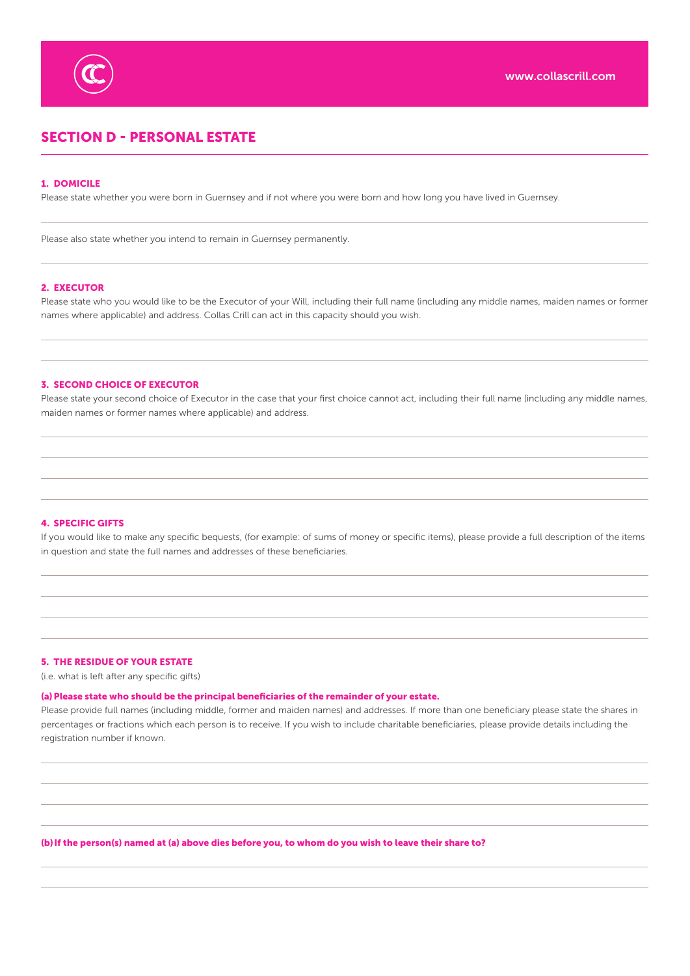

# SECTION D - PERSONAL ESTATE

# 1. DOMICILE

Please state whether you were born in Guernsey and if not where you were born and how long you have lived in Guernsey.

Please also state whether you intend to remain in Guernsey permanently.

# 2. EXECUTOR

Please state who you would like to be the Executor of your Will, including their full name (including any middle names, maiden names or former names where applicable) and address. Collas Crill can act in this capacity should you wish.

## 3. SECOND CHOICE OF EXECUTOR

Please state your second choice of Executor in the case that your first choice cannot act, including their full name (including any middle names, maiden names or former names where applicable) and address.

#### 4. SPECIFIC GIFTS

If you would like to make any specific bequests, (for example: of sums of money or specific items), please provide a full description of the items in question and state the full names and addresses of these beneficiaries.

# 5. THE RESIDUE OF YOUR ESTATE

(i.e. what is left after any specific gifts)

#### (a)Please state who should be the principal beneficiaries of the remainder of your estate.

Please provide full names (including middle, former and maiden names) and addresses. If more than one beneficiary please state the shares in percentages or fractions which each person is to receive. If you wish to include charitable beneficiaries, please provide details including the registration number if known.

(b)If the person(s) named at (a) above dies before you, to whom do you wish to leave their share to?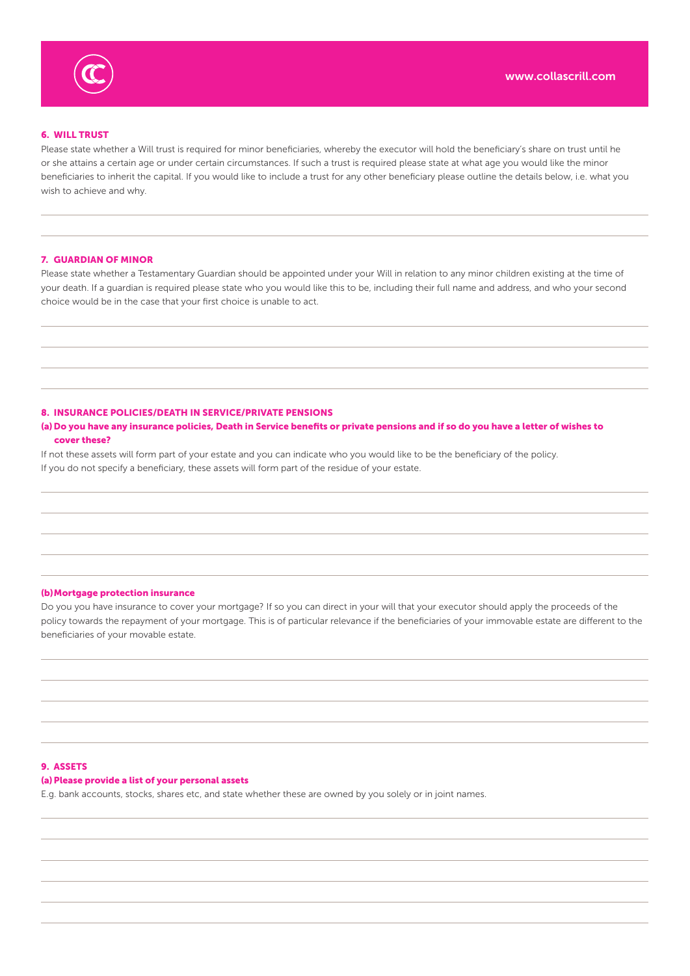

# 6. WILL TRUST

Please state whether a Will trust is required for minor beneficiaries, whereby the executor will hold the beneficiary's share on trust until he or she attains a certain age or under certain circumstances. If such a trust is required please state at what age you would like the minor beneficiaries to inherit the capital. If you would like to include a trust for any other beneficiary please outline the details below, i.e. what you wish to achieve and why.

#### 7. GUARDIAN OF MINOR

Please state whether a Testamentary Guardian should be appointed under your Will in relation to any minor children existing at the time of your death. If a guardian is required please state who you would like this to be, including their full name and address, and who your second choice would be in the case that your first choice is unable to act.

#### 8. INSURANCE POLICIES/DEATH IN SERVICE/PRIVATE PENSIONS

# (a)Do you have any insurance policies, Death in Service benefits or private pensions and if so do you have a letter of wishes to cover these?

If not these assets will form part of your estate and you can indicate who you would like to be the beneficiary of the policy. If you do not specify a beneficiary, these assets will form part of the residue of your estate.

#### (b)Mortgage protection insurance

Do you you have insurance to cover your mortgage? If so you can direct in your will that your executor should apply the proceeds of the policy towards the repayment of your mortgage. This is of particular relevance if the beneficiaries of your immovable estate are different to the beneficiaries of your movable estate.

## 9. ASSETS

## (a) Please provide a list of your personal assets

E.g. bank accounts, stocks, shares etc, and state whether these are owned by you solely or in joint names.